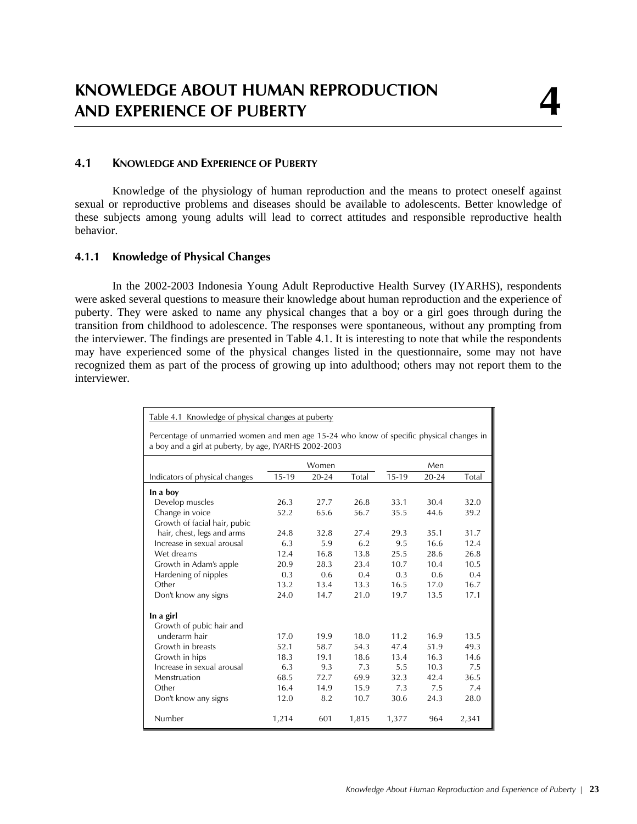# **4.1 KNOWLEDGE AND EXPERIENCE OF PUBERTY**

Knowledge of the physiology of human reproduction and the means to protect oneself against sexual or reproductive problems and diseases should be available to adolescents. Better knowledge of these subjects among young adults will lead to correct attitudes and responsible reproductive health behavior.

## **4.1.1 Knowledge of Physical Changes**

In the 2002-2003 Indonesia Young Adult Reproductive Health Survey (IYARHS), respondents were asked several questions to measure their knowledge about human reproduction and the experience of puberty. They were asked to name any physical changes that a boy or a girl goes through during the transition from childhood to adolescence. The responses were spontaneous, without any prompting from the interviewer. The findings are presented in Table 4.1. It is interesting to note that while the respondents may have experienced some of the physical changes listed in the questionnaire, some may not have recognized them as part of the process of growing up into adulthood; others may not report them to the interviewer.

| Table 4.1 Knowledge of physical changes at puberty                                                                                                |         |           |       |         |           |       |
|---------------------------------------------------------------------------------------------------------------------------------------------------|---------|-----------|-------|---------|-----------|-------|
| Percentage of unmarried women and men age 15-24 who know of specific physical changes in<br>a boy and a girl at puberty, by age, IYARHS 2002-2003 |         |           |       |         |           |       |
|                                                                                                                                                   |         | Women     |       |         | Men       |       |
| Indicators of physical changes                                                                                                                    | $15-19$ | $20 - 24$ | Total | $15-19$ | $20 - 24$ | Total |
| In a boy                                                                                                                                          |         |           |       |         |           |       |
| Develop muscles                                                                                                                                   | 26.3    | 27.7      | 26.8  | 33.1    | 30.4      | 32.0  |
| Change in voice                                                                                                                                   | 52.2    | 65.6      | 56.7  | 35.5    | 44.6      | 39.2  |
| Growth of facial hair, pubic                                                                                                                      |         |           |       |         |           |       |
| hair, chest, legs and arms                                                                                                                        | 24.8    | 32.8      | 27.4  | 29.3    | 35.1      | 31.7  |
| Increase in sexual arousal                                                                                                                        | 6.3     | 5.9       | 6.2   | 9.5     | 16.6      | 12.4  |
| Wet dreams                                                                                                                                        | 12.4    | 16.8      | 13.8  | 25.5    | 28.6      | 26.8  |
| Growth in Adam's apple                                                                                                                            | 20.9    | 28.3      | 23.4  | 10.7    | 10.4      | 10.5  |
| Hardening of nipples                                                                                                                              | 0.3     | 0.6       | 0.4   | 0.3     | 0.6       | 0.4   |
| Other                                                                                                                                             | 13.2    | 13.4      | 13.3  | 16.5    | 17.0      | 16.7  |
| Don't know any signs                                                                                                                              | 24.0    | 14.7      | 21.0  | 19.7    | 13.5      | 17.1  |
| In a girl                                                                                                                                         |         |           |       |         |           |       |
| Growth of pubic hair and                                                                                                                          |         |           |       |         |           |       |
| underarm hair                                                                                                                                     | 17.0    | 19.9      | 18.0  | 11.2    | 16.9      | 13.5  |
| Growth in breasts                                                                                                                                 | 52.1    | 58.7      | 54.3  | 47.4    | 51.9      | 49.3  |
| Growth in hips                                                                                                                                    | 18.3    | 19.1      | 18.6  | 13.4    | 16.3      | 14.6  |
| Increase in sexual arousal                                                                                                                        | 6.3     | 9.3       | 7.3   | 5.5     | 10.3      | 7.5   |
| Menstruation                                                                                                                                      | 68.5    | 72.7      | 69.9  | 32.3    | 42.4      | 36.5  |
| Other                                                                                                                                             | 16.4    | 14.9      | 15.9  | 7.3     | 7.5       | 7.4   |
| Don't know any signs                                                                                                                              | 12.0    | 8.2       | 10.7  | 30.6    | 24.3      | 28.0  |
| Number                                                                                                                                            | 1,214   | 601       | 1,815 | 1,377   | 964       | 2,341 |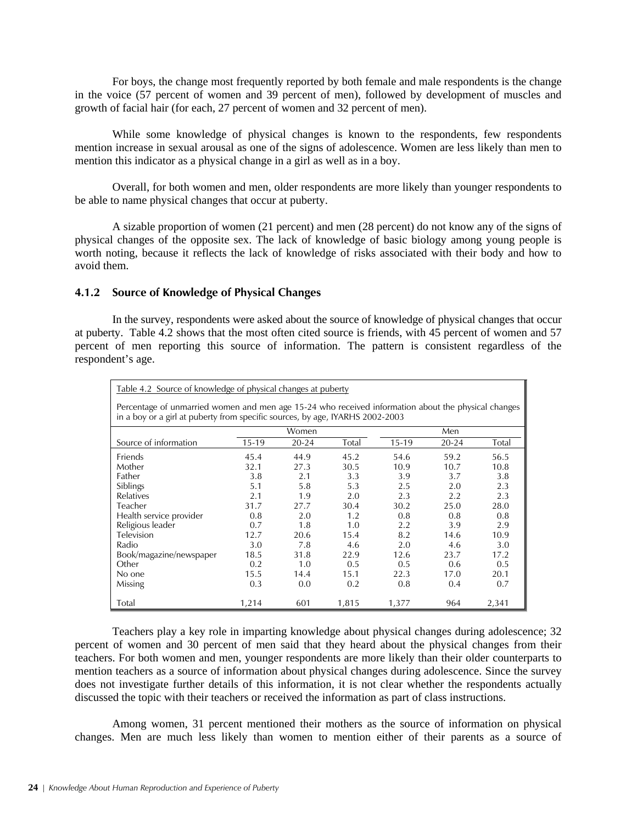For boys, the change most frequently reported by both female and male respondents is the change in the voice (57 percent of women and 39 percent of men), followed by development of muscles and growth of facial hair (for each, 27 percent of women and 32 percent of men).

While some knowledge of physical changes is known to the respondents, few respondents mention increase in sexual arousal as one of the signs of adolescence. Women are less likely than men to mention this indicator as a physical change in a girl as well as in a boy.

Overall, for both women and men, older respondents are more likely than younger respondents to be able to name physical changes that occur at puberty.

A sizable proportion of women (21 percent) and men (28 percent) do not know any of the signs of physical changes of the opposite sex. The lack of knowledge of basic biology among young people is worth noting, because it reflects the lack of knowledge of risks associated with their body and how to avoid them.

## **4.1.2 Source of Knowledge of Physical Changes**

In the survey, respondents were asked about the source of knowledge of physical changes that occur at puberty. Table 4.2 shows that the most often cited source is friends, with 45 percent of women and 57 percent of men reporting this source of information. The pattern is consistent regardless of the respondent's age.

| Table 4.2 Source of knowledge of physical changes at puberty                                                                                                                         |         |           |       |         |           |       |
|--------------------------------------------------------------------------------------------------------------------------------------------------------------------------------------|---------|-----------|-------|---------|-----------|-------|
| Percentage of unmarried women and men age 15-24 who received information about the physical changes<br>in a boy or a girl at puberty from specific sources, by age, IYARHS 2002-2003 |         |           |       |         |           |       |
|                                                                                                                                                                                      |         | Women     |       |         | Men       |       |
| Source of information                                                                                                                                                                | $15-19$ | $20 - 24$ | Total | $15-19$ | $20 - 24$ | Total |
| Friends                                                                                                                                                                              | 45.4    | 44.9      | 45.2  | 54.6    | 59.2      | 56.5  |
| Mother                                                                                                                                                                               | 32.1    | 27.3      | 30.5  | 10.9    | 10.7      | 10.8  |
| Father                                                                                                                                                                               | 3.8     | 2.1       | 3.3   | 3.9     | 3.7       | 3.8   |
| Siblings                                                                                                                                                                             | 5.1     | 5.8       | 5.3   | 2.5     | 2.0       | 2.3   |
| Relatives                                                                                                                                                                            | 2.1     | 1.9       | 2.0   | 2.3     | 2.2       | 2.3   |
| Teacher                                                                                                                                                                              | 31.7    | 27.7      | 30.4  | 30.2    | 25.0      | 28.0  |
| Health service provider                                                                                                                                                              | 0.8     | 2.0       | 1.2   | 0.8     | 0.8       | 0.8   |
| Religious leader                                                                                                                                                                     | 0.7     | 1.8       | 1.0   | 2.2     | 3.9       | 2.9   |
| Television                                                                                                                                                                           | 12.7    | 20.6      | 15.4  | 8.2     | 14.6      | 10.9  |
| Radio                                                                                                                                                                                | 3.0     | 7.8       | 4.6   | 2.0     | 4.6       | 3.0   |
| Book/magazine/newspaper                                                                                                                                                              | 18.5    | 31.8      | 22.9  | 12.6    | 23.7      | 17.2  |
| Other                                                                                                                                                                                | 0.2     | 1.0       | 0.5   | 0.5     | 0.6       | 0.5   |
| No one                                                                                                                                                                               | 15.5    | 14.4      | 15.1  | 22.3    | 17.0      | 20.1  |
| Missing                                                                                                                                                                              | 0.3     | 0.0       | 0.2   | 0.8     | 0.4       | 0.7   |
| Total                                                                                                                                                                                | 1,214   | 601       | 1,815 | 1,377   | 964       | 2,341 |

 Teachers play a key role in imparting knowledge about physical changes during adolescence; 32 percent of women and 30 percent of men said that they heard about the physical changes from their teachers. For both women and men, younger respondents are more likely than their older counterparts to mention teachers as a source of information about physical changes during adolescence. Since the survey does not investigate further details of this information, it is not clear whether the respondents actually discussed the topic with their teachers or received the information as part of class instructions.

 Among women, 31 percent mentioned their mothers as the source of information on physical changes. Men are much less likely than women to mention either of their parents as a source of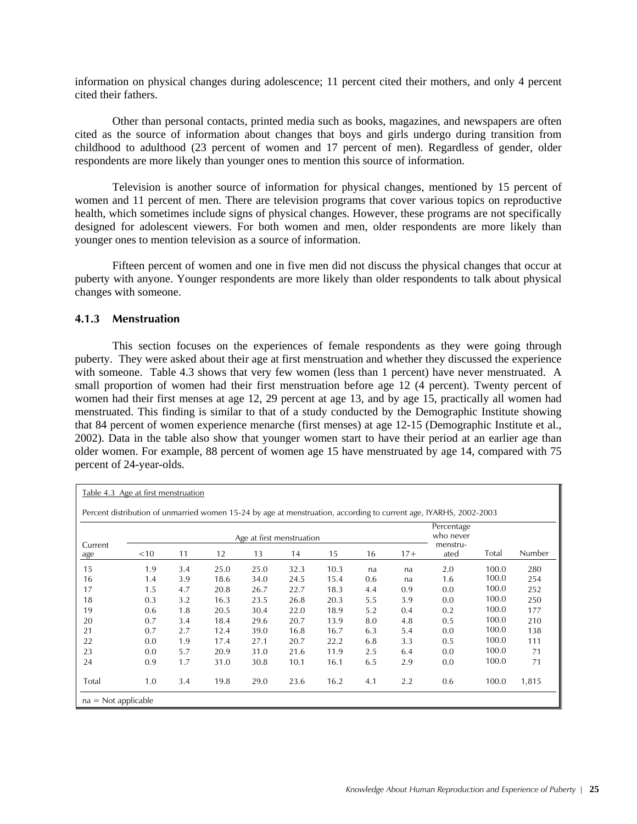information on physical changes during adolescence; 11 percent cited their mothers, and only 4 percent cited their fathers.

 Other than personal contacts, printed media such as books, magazines, and newspapers are often cited as the source of information about changes that boys and girls undergo during transition from childhood to adulthood (23 percent of women and 17 percent of men). Regardless of gender, older respondents are more likely than younger ones to mention this source of information.

 Television is another source of information for physical changes, mentioned by 15 percent of women and 11 percent of men. There are television programs that cover various topics on reproductive health, which sometimes include signs of physical changes. However, these programs are not specifically designed for adolescent viewers. For both women and men, older respondents are more likely than younger ones to mention television as a source of information.

 Fifteen percent of women and one in five men did not discuss the physical changes that occur at puberty with anyone. Younger respondents are more likely than older respondents to talk about physical changes with someone.

#### **4.1.3 Menstruation**

This section focuses on the experiences of female respondents as they were going through puberty. They were asked about their age at first menstruation and whether they discussed the experience with someone. Table 4.3 shows that very few women (less than 1 percent) have never menstruated. A small proportion of women had their first menstruation before age 12 (4 percent). Twenty percent of women had their first menses at age 12, 29 percent at age 13, and by age 15, practically all women had menstruated. This finding is similar to that of a study conducted by the Demographic Institute showing that 84 percent of women experience menarche (first menses) at age 12-15 (Demographic Institute et al., 2002). Data in the table also show that younger women start to have their period at an earlier age than older women. For example, 88 percent of women age 15 have menstruated by age 14, compared with 75 percent of 24-year-olds.

| Table 4.3 Age at first menstruation |        |     |      |      |                           |      |     |       |                                                                                                                   |       |        |
|-------------------------------------|--------|-----|------|------|---------------------------|------|-----|-------|-------------------------------------------------------------------------------------------------------------------|-------|--------|
|                                     |        |     |      |      |                           |      |     |       | Percent distribution of unmarried women 15-24 by age at menstruation, according to current age, IYARHS, 2002-2003 |       |        |
|                                     |        |     |      |      | Age at first menstruation |      |     |       | Percentage<br>who never                                                                                           |       |        |
| Current<br>age                      | $<$ 10 | 11  | 12   | 13   | 14                        | 15   | 16  | $17+$ | menstru-<br>ated                                                                                                  | Total | Number |
| 15                                  | 1.9    | 3.4 | 25.0 | 25.0 | 32.3                      | 10.3 | na  | na    | 2.0                                                                                                               | 100.0 | 280    |
| 16                                  | 1.4    | 3.9 | 18.6 | 34.0 | 24.5                      | 15.4 | 0.6 | na    | 1.6                                                                                                               | 100.0 | 254    |
| 17                                  | 1.5    | 4.7 | 20.8 | 26.7 | 22.7                      | 18.3 | 4.4 | 0.9   | 0.0                                                                                                               | 100.0 | 252    |
| 18                                  | 0.3    | 3.2 | 16.3 | 23.5 | 26.8                      | 20.3 | 5.5 | 3.9   | 0.0                                                                                                               | 100.0 | 250    |
| 19                                  | 0.6    | 1.8 | 20.5 | 30.4 | 22.0                      | 18.9 | 5.2 | 0.4   | 0.2                                                                                                               | 100.0 | 177    |
| 20                                  | 0.7    | 3.4 | 18.4 | 29.6 | 20.7                      | 13.9 | 8.0 | 4.8   | 0.5                                                                                                               | 100.0 | 210    |
| 21                                  | 0.7    | 2.7 | 12.4 | 39.0 | 16.8                      | 16.7 | 6.3 | 5.4   | 0.0                                                                                                               | 100.0 | 138    |
| 22                                  | 0.0    | 1.9 | 17.4 | 27.1 | 20.7                      | 22.2 | 6.8 | 3.3   | 0.5                                                                                                               | 100.0 | 111    |
| 23                                  | 0.0    | 5.7 | 20.9 | 31.0 | 21.6                      | 11.9 | 2.5 | 6.4   | 0.0                                                                                                               | 100.0 | 71     |
| 24                                  | 0.9    | 1.7 | 31.0 | 30.8 | 10.1                      | 16.1 | 6.5 | 2.9   | 0.0                                                                                                               | 100.0 | 71     |
| Total                               | 1.0    | 3.4 | 19.8 | 29.0 | 23.6                      | 16.2 | 4.1 | 2.2   | 0.6                                                                                                               | 100.0 | 1,815  |
| $na = Not applicable$               |        |     |      |      |                           |      |     |       |                                                                                                                   |       |        |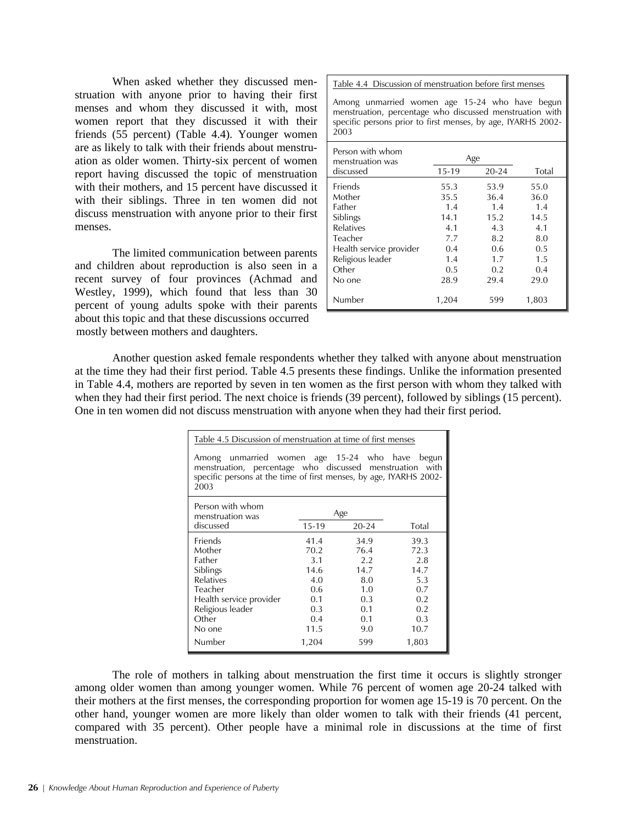When asked whether they discussed menstruation with anyone prior to having their first menses and whom they discussed it with, most women report that they discussed it with their friends (55 percent) (Table 4.4). Younger women are as likely to talk with their friends about menstruation as older women. Thirty-six percent of women report having discussed the topic of menstruation with their mothers, and 15 percent have discussed it with their siblings. Three in ten women did not discuss menstruation with anyone prior to their first menses.

The limited communication between parents and children about reproduction is also seen in a recent survey of four provinces (Achmad and Westley, 1999), which found that less than 30 percent of young adults spoke with their parents about this topic and that these discussions occurred mostly between mothers and daughters.

Table 4.4 Discussion of menstruation before first menses

Among unmarried women age 15-24 who have begun menstruation, percentage who discussed menstruation with specific persons prior to first menses, by age, IYARHS 2002- 2003

| Person with whom<br>menstruation was |         | Age       |       |
|--------------------------------------|---------|-----------|-------|
| discussed                            | $15-19$ | $20 - 24$ | Total |
| Friends                              | 55.3    | 53.9      | 55.0  |
| Mother                               | 35.5    | 36.4      | 36.0  |
| Father                               | 1.4     | 1.4       | 1.4   |
| Siblings                             | 14.1    | 15.2      | 14.5  |
| Relatives                            | 4.1     | 4.3       | 4.1   |
| Teacher                              | 7.7     | 8.2       | 8.0   |
| Health service provider              | 0.4     | 0.6       | 0.5   |
| Religious leader                     | 1.4     | 1.7       | 1.5   |
| Other                                | 0.5     | 0.2       | 0.4   |
| No one                               | 28.9    | 29.4      | 29.0  |
| Number                               | 1,204   | 599       | 1,803 |

 Another question asked female respondents whether they talked with anyone about menstruation at the time they had their first period. Table 4.5 presents these findings. Unlike the information presented in Table 4.4, mothers are reported by seven in ten women as the first person with whom they talked with when they had their first period. The next choice is friends (39 percent), followed by siblings (15 percent). One in ten women did not discuss menstruation with anyone when they had their first period.

| Table 4.5 Discussion of menstruation at time of first menses                                                                                                                       |         |           |       |
|------------------------------------------------------------------------------------------------------------------------------------------------------------------------------------|---------|-----------|-------|
| Among unmarried women age 15-24 who have<br>menstruation, percentage who discussed menstruation with<br>specific persons at the time of first menses, by age, IYARHS 2002-<br>2003 |         |           | begun |
| Person with whom                                                                                                                                                                   |         | Age       |       |
| menstruation was<br>discussed                                                                                                                                                      | $15-19$ | $20 - 24$ | Total |
| Friends                                                                                                                                                                            | 41.4    | 34.9      | 39.3  |
| Mother                                                                                                                                                                             | 70.2    | 76.4      | 72.3  |
| Father                                                                                                                                                                             | 3.1     | 2.2       | 2.8   |
| Siblings                                                                                                                                                                           | 14.6    | 14.7      | 14.7  |
| <b>Relatives</b>                                                                                                                                                                   | 4.0     | 8.0       | 5.3   |
| Teacher                                                                                                                                                                            | 0.6     | 1.0       | 0.7   |
| Health service provider                                                                                                                                                            | 0.1     | 0.3       | 0.2   |
| Religious leader                                                                                                                                                                   | 0.3     | 0.1       | 0.2   |
| Other                                                                                                                                                                              | 0.4     | 0.1       | 0.3   |
| No one                                                                                                                                                                             | 11.5    | 9.0       | 10.7  |
| Number                                                                                                                                                                             | 1,204   | 599       | 1,803 |

 The role of mothers in talking about menstruation the first time it occurs is slightly stronger among older women than among younger women. While 76 percent of women age 20-24 talked with their mothers at the first menses, the corresponding proportion for women age 15-19 is 70 percent. On the other hand, younger women are more likely than older women to talk with their friends (41 percent, compared with 35 percent). Other people have a minimal role in discussions at the time of first menstruation.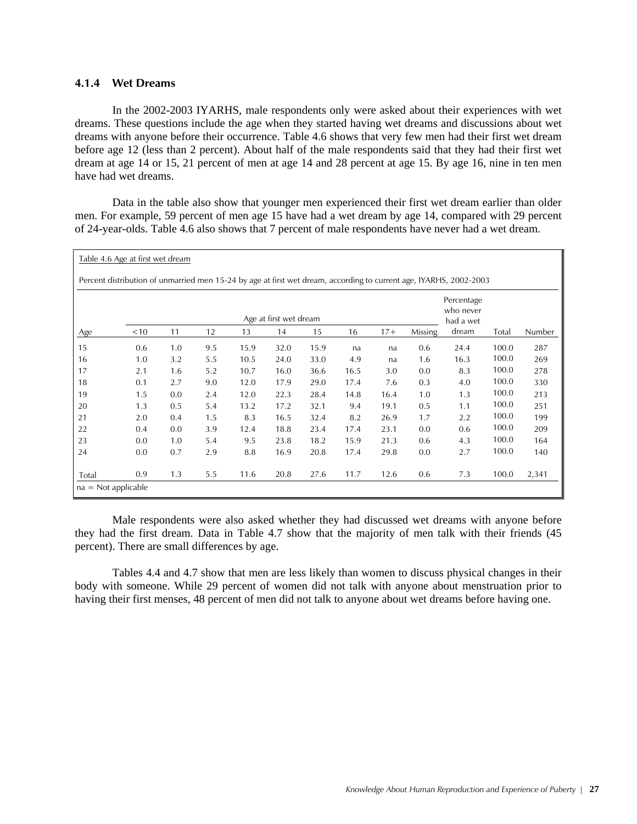### **4.1.4 Wet Dreams**

In the 2002-2003 IYARHS, male respondents only were asked about their experiences with wet dreams. These questions include the age when they started having wet dreams and discussions about wet dreams with anyone before their occurrence. Table 4.6 shows that very few men had their first wet dream before age 12 (less than 2 percent). About half of the male respondents said that they had their first wet dream at age 14 or 15, 21 percent of men at age 14 and 28 percent at age 15. By age 16, nine in ten men have had wet dreams.

Data in the table also show that younger men experienced their first wet dream earlier than older men. For example, 59 percent of men age 15 have had a wet dream by age 14, compared with 29 percent of 24-year-olds. Table 4.6 also shows that 7 percent of male respondents have never had a wet dream.

| Table 4.6 Age at first wet dream |      |     |     |      |                        |      |      |       |         |                                                                                                                    |       |        |
|----------------------------------|------|-----|-----|------|------------------------|------|------|-------|---------|--------------------------------------------------------------------------------------------------------------------|-------|--------|
|                                  |      |     |     |      |                        |      |      |       |         | Percent distribution of unmarried men 15-24 by age at first wet dream, according to current age, IYARHS, 2002-2003 |       |        |
|                                  |      |     |     |      | Age at first wet dream |      |      |       |         | Percentage<br>who never<br>had a wet                                                                               |       |        |
| Age                              | < 10 | 11  | 12  | 13   | 14                     | 15   | 16   | $17+$ | Missing | dream                                                                                                              | Total | Number |
| 15                               | 0.6  | 1.0 | 9.5 | 15.9 | 32.0                   | 15.9 | na   | na    | 0.6     | 24.4                                                                                                               | 100.0 | 287    |
| 16                               | 1.0  | 3.2 | 5.5 | 10.5 | 24.0                   | 33.0 | 4.9  | na    | 1.6     | 16.3                                                                                                               | 100.0 | 269    |
| 17                               | 2.1  | 1.6 | 5.2 | 10.7 | 16.0                   | 36.6 | 16.5 | 3.0   | 0.0     | 8.3                                                                                                                | 100.0 | 278    |
| 18                               | 0.1  | 2.7 | 9.0 | 12.0 | 17.9                   | 29.0 | 17.4 | 7.6   | 0.3     | 4.0                                                                                                                | 100.0 | 330    |
| 19                               | 1.5  | 0.0 | 2.4 | 12.0 | 22.3                   | 28.4 | 14.8 | 16.4  | 1.0     | 1.3                                                                                                                | 100.0 | 213    |
| 20                               | 1.3  | 0.5 | 5.4 | 13.2 | 17.2                   | 32.1 | 9.4  | 19.1  | 0.5     | 1.1                                                                                                                | 100.0 | 251    |
| 21                               | 2.0  | 0.4 | 1.5 | 8.3  | 16.5                   | 32.4 | 8.2  | 26.9  | 1.7     | 2.2                                                                                                                | 100.0 | 199    |
| 22                               | 0.4  | 0.0 | 3.9 | 12.4 | 18.8                   | 23.4 | 17.4 | 23.1  | 0.0     | 0.6                                                                                                                | 100.0 | 209    |
| 23                               | 0.0  | 1.0 | 5.4 | 9.5  | 23.8                   | 18.2 | 15.9 | 21.3  | 0.6     | 4.3                                                                                                                | 100.0 | 164    |
| 24                               | 0.0  | 0.7 | 2.9 | 8.8  | 16.9                   | 20.8 | 17.4 | 29.8  | 0.0     | 2.7                                                                                                                | 100.0 | 140    |
|                                  |      |     |     |      |                        |      |      |       |         |                                                                                                                    |       |        |
| Total                            | 0.9  | 1.3 | 5.5 | 11.6 | 20.8                   | 27.6 | 11.7 | 12.6  | 0.6     | 7.3                                                                                                                | 100.0 | 2,341  |
| $na = Not applicable$            |      |     |     |      |                        |      |      |       |         |                                                                                                                    |       |        |

 Male respondents were also asked whether they had discussed wet dreams with anyone before they had the first dream. Data in Table 4.7 show that the majority of men talk with their friends (45 percent). There are small differences by age.

Tables 4.4 and 4.7 show that men are less likely than women to discuss physical changes in their body with someone. While 29 percent of women did not talk with anyone about menstruation prior to having their first menses, 48 percent of men did not talk to anyone about wet dreams before having one.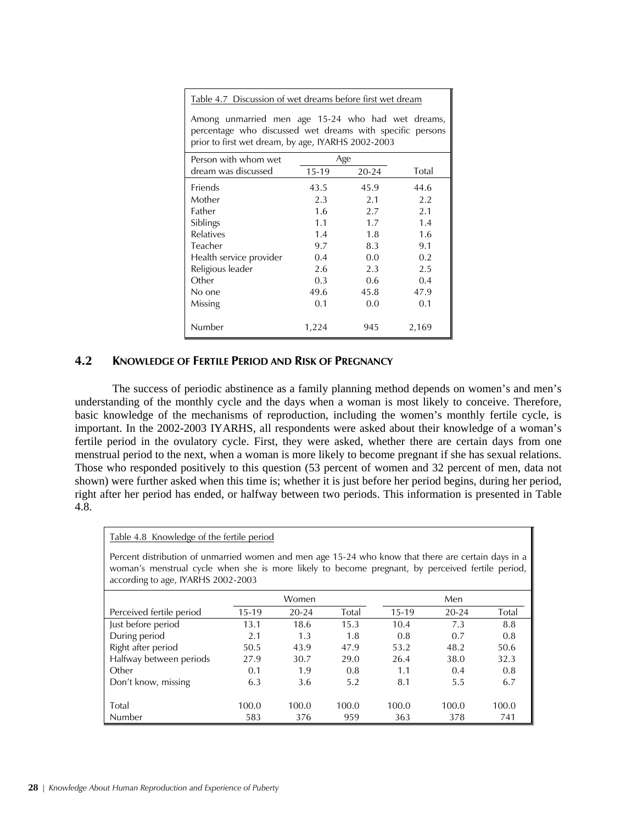Table 4.7 Discussion of wet dreams before first wet dream

| Person with whom wet    |         | Age       |       |
|-------------------------|---------|-----------|-------|
| dream was discussed     | $15-19$ | $20 - 24$ | Total |
| Friends                 | 43.5    | 45.9      | 44.6  |
| Mother                  | 2.3     | 2.1       | 2.2   |
| Father                  | 1.6     | 2.7       | 2.1   |
| Siblings                | 1.1     | 1.7       | 1.4   |
| <b>Relatives</b>        | 1.4     | 1.8       | 1.6   |
| Teacher                 | 9.7     | 8.3       | 9.1   |
| Health service provider | 0.4     | 0.0       | 0.2   |
| Religious leader        | 2.6     | 2.3       | 2.5   |
| Other                   | 0.3     | 0.6       | 0.4   |
| No one                  | 49.6    | 45.8      | 47.9  |
| Missing                 | 0.1     | 0.0       | 0.1   |
|                         |         |           |       |
| Number                  | 1,224   | 945       | 2,169 |

Among unmarried men age 15-24 who had wet dreams, percentage who discussed wet dreams with specific persons prior to first wet dream, by age, IYARHS 2002-2003

# **4.2 KNOWLEDGE OF FERTILE PERIOD AND RISK OF PREGNANCY**

Table 4.8 Knowledge of the fertile period

 The success of periodic abstinence as a family planning method depends on women's and men's understanding of the monthly cycle and the days when a woman is most likely to conceive. Therefore, basic knowledge of the mechanisms of reproduction, including the women's monthly fertile cycle, is important. In the 2002-2003 IYARHS, all respondents were asked about their knowledge of a woman's fertile period in the ovulatory cycle. First, they were asked, whether there are certain days from one menstrual period to the next, when a woman is more likely to become pregnant if she has sexual relations. Those who responded positively to this question (53 percent of women and 32 percent of men, data not shown) were further asked when this time is; whether it is just before her period begins, during her period, right after her period has ended, or halfway between two periods. This information is presented in Table 4.8.

| Percent distribution of unmarried women and men age 15-24 who know that there are certain days in a<br>woman's menstrual cycle when she is more likely to become pregnant, by perceived fertile period,<br>according to age, IYARHS 2002-2003 |         |           |       |         |           |       |
|-----------------------------------------------------------------------------------------------------------------------------------------------------------------------------------------------------------------------------------------------|---------|-----------|-------|---------|-----------|-------|
|                                                                                                                                                                                                                                               |         | Women     |       |         | Men       |       |
| Perceived fertile period                                                                                                                                                                                                                      | $15-19$ | $20 - 24$ | Total | $15-19$ | $20 - 24$ | Total |
| Just before period                                                                                                                                                                                                                            | 13.1    | 18.6      | 15.3  | 10.4    | 7.3       | 8.8   |
| During period                                                                                                                                                                                                                                 | 2.1     | 1.3       | 1.8   | 0.8     | 0.7       | 0.8   |
| Right after period                                                                                                                                                                                                                            | 50.5    | 43.9      | 47.9  | 53.2    | 48.2      | 50.6  |
| Halfway between periods                                                                                                                                                                                                                       | 27.9    | 30.7      | 29.0  | 26.4    | 38.0      | 32.3  |
| Other                                                                                                                                                                                                                                         | 0.1     | 1.9       | 0.8   | 1.1     | 0.4       | 0.8   |
| Don't know, missing                                                                                                                                                                                                                           | 6.3     | 3.6       | 5.2   | 8.1     | 5.5       | 6.7   |
|                                                                                                                                                                                                                                               |         |           |       |         |           |       |
| Total                                                                                                                                                                                                                                         | 100.0   | 100.0     | 100.0 | 100.0   | 100.0     | 100.0 |
| Number                                                                                                                                                                                                                                        | 583     | 376       | 959   | 363     | 378       | 741   |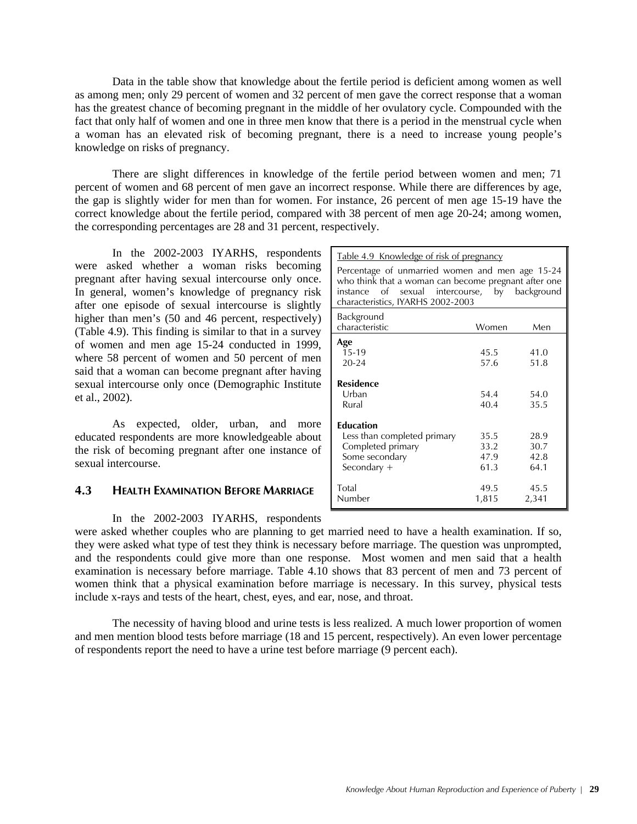Data in the table show that knowledge about the fertile period is deficient among women as well as among men; only 29 percent of women and 32 percent of men gave the correct response that a woman has the greatest chance of becoming pregnant in the middle of her ovulatory cycle. Compounded with the fact that only half of women and one in three men know that there is a period in the menstrual cycle when a woman has an elevated risk of becoming pregnant, there is a need to increase young people's knowledge on risks of pregnancy.

 There are slight differences in knowledge of the fertile period between women and men; 71 percent of women and 68 percent of men gave an incorrect response. While there are differences by age, the gap is slightly wider for men than for women. For instance, 26 percent of men age 15-19 have the correct knowledge about the fertile period, compared with 38 percent of men age 20-24; among women, the corresponding percentages are 28 and 31 percent, respectively.

 In the 2002-2003 IYARHS, respondents were asked whether a woman risks becoming pregnant after having sexual intercourse only once. In general, women's knowledge of pregnancy risk after one episode of sexual intercourse is slightly higher than men's (50 and 46 percent, respectively) (Table 4.9). This finding is similar to that in a survey of women and men age 15-24 conducted in 1999, where 58 percent of women and 50 percent of men said that a woman can become pregnant after having sexual intercourse only once (Demographic Institute et al., 2002).

 As expected, older, urban, and more educated respondents are more knowledgeable about the risk of becoming pregnant after one instance of sexual intercourse.

# **4.3 HEALTH EXAMINATION BEFORE MARRIAGE**

### In the 2002-2003 IYARHS, respondents

| Percentage of unmarried women and men age 15-24<br>who think that a woman can become pregnant after one<br>instance of sexual intercourse, by background<br>characteristics, IYARHS 2002-2003 |               |               |
|-----------------------------------------------------------------------------------------------------------------------------------------------------------------------------------------------|---------------|---------------|
| Background                                                                                                                                                                                    |               |               |
| characteristic                                                                                                                                                                                | Women         | Men           |
| Age                                                                                                                                                                                           |               |               |
| $15-19$                                                                                                                                                                                       | 45.5          | 41.0          |
| $20 - 24$                                                                                                                                                                                     | 57.6          | 51.8          |
| <b>Residence</b><br>Urban<br>Rural                                                                                                                                                            | 54.4<br>40.4  | 54.0<br>35.5  |
| <b>Education</b>                                                                                                                                                                              |               |               |
| Less than completed primary                                                                                                                                                                   | 35.5          | 28.9          |
| Completed primary                                                                                                                                                                             | 33.2          | 30.7          |
| Some secondary                                                                                                                                                                                | 47.9          | 42.8          |
| Secondary $+$                                                                                                                                                                                 | 61.3          | 64.1          |
| Total<br>Number                                                                                                                                                                               | 49.5<br>1,815 | 45.5<br>2,341 |

Table 4.9 Knowledge of risk of pregnancy

were asked whether couples who are planning to get married need to have a health examination. If so, they were asked what type of test they think is necessary before marriage. The question was unprompted, and the respondents could give more than one response. Most women and men said that a health examination is necessary before marriage. Table 4.10 shows that 83 percent of men and 73 percent of women think that a physical examination before marriage is necessary. In this survey, physical tests include x-rays and tests of the heart, chest, eyes, and ear, nose, and throat.

 The necessity of having blood and urine tests is less realized. A much lower proportion of women and men mention blood tests before marriage (18 and 15 percent, respectively). An even lower percentage of respondents report the need to have a urine test before marriage (9 percent each).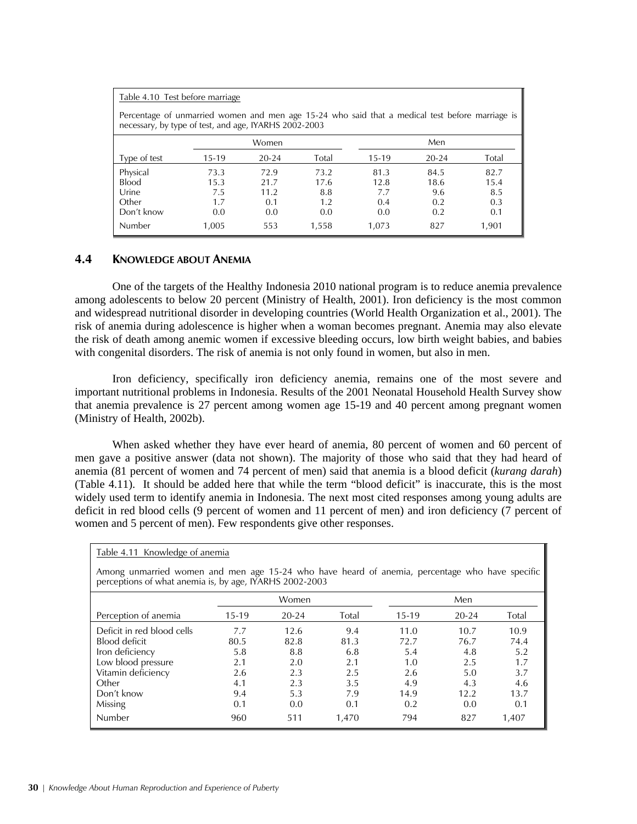| Table 4.10 Test before marriage                                                                                                                          |       |           |       |       |           |       |
|----------------------------------------------------------------------------------------------------------------------------------------------------------|-------|-----------|-------|-------|-----------|-------|
| Percentage of unmarried women and men age 15-24 who said that a medical test before marriage is<br>necessary, by type of test, and age, IYARHS 2002-2003 |       |           |       |       |           |       |
|                                                                                                                                                          |       | Women     |       |       | Men       |       |
| Type of test                                                                                                                                             | 15-19 | $20 - 24$ | Total | 15-19 | $20 - 24$ | Total |
| Physical                                                                                                                                                 | 73.3  | 72.9      | 73.2  | 81.3  | 84.5      | 82.7  |
| <b>Blood</b>                                                                                                                                             | 15.3  | 21.7      | 17.6  | 12.8  | 18.6      | 15.4  |
| Urine                                                                                                                                                    | 7.5   | 11.2      | 8.8   | 7.7   | 9.6       | 8.5   |
| Other                                                                                                                                                    | 1.7   | 0.1       | 1.2   | 0.4   | 0.2       | 0.3   |
| Don't know                                                                                                                                               | 0.0   | 0.0       | 0.0   | 0.0   | 0.2       | 0.1   |
| Number                                                                                                                                                   | 1.005 | 553       | 1,558 | 1.073 | 827       | 1,901 |

# **4.4 KNOWLEDGE ABOUT ANEMIA**

 One of the targets of the Healthy Indonesia 2010 national program is to reduce anemia prevalence among adolescents to below 20 percent (Ministry of Health, 2001). Iron deficiency is the most common and widespread nutritional disorder in developing countries (World Health Organization et al., 2001). The risk of anemia during adolescence is higher when a woman becomes pregnant. Anemia may also elevate the risk of death among anemic women if excessive bleeding occurs, low birth weight babies, and babies with congenital disorders. The risk of anemia is not only found in women, but also in men.

Iron deficiency, specifically iron deficiency anemia, remains one of the most severe and important nutritional problems in Indonesia. Results of the 2001 Neonatal Household Health Survey show that anemia prevalence is 27 percent among women age 15-19 and 40 percent among pregnant women (Ministry of Health, 2002b).

When asked whether they have ever heard of anemia, 80 percent of women and 60 percent of men gave a positive answer (data not shown). The majority of those who said that they had heard of anemia (81 percent of women and 74 percent of men) said that anemia is a blood deficit (*kurang darah*) (Table 4.11). It should be added here that while the term "blood deficit" is inaccurate, this is the most widely used term to identify anemia in Indonesia. The next most cited responses among young adults are deficit in red blood cells (9 percent of women and 11 percent of men) and iron deficiency (7 percent of women and 5 percent of men). Few respondents give other responses.

| Among unmarried women and men age 15-24 who have heard of anemia, percentage who have specific<br>perceptions of what anemia is, by age, IYARHS 2002-2003 |       |           |       |         |           |       |
|-----------------------------------------------------------------------------------------------------------------------------------------------------------|-------|-----------|-------|---------|-----------|-------|
|                                                                                                                                                           |       | Women     |       |         | Men       |       |
| Perception of anemia                                                                                                                                      | 15-19 | $20 - 24$ | Total | $15-19$ | $20 - 24$ | Total |
| Deficit in red blood cells                                                                                                                                | 7.7   | 12.6      | 9.4   | 11.0    | 10.7      | 10.9  |
| Blood deficit                                                                                                                                             | 80.5  | 82.8      | 81.3  | 72.7    | 76.7      | 74.4  |
| Iron deficiency                                                                                                                                           | 5.8   | 8.8       | 6.8   | 5.4     | 4.8       | 5.2   |
| Low blood pressure                                                                                                                                        | 2.1   | 2.0       | 2.1   | 1.0     | 2.5       | 1.7   |
| Vitamin deficiency                                                                                                                                        | 2.6   | 2.3       | 2.5   | 2.6     | 5.0       | 3.7   |
| Other                                                                                                                                                     | 4.1   | 2.3       | 3.5   | 4.9     | 4.3       | 4.6   |
| Don't know                                                                                                                                                | 9.4   | 5.3       | 7.9   | 14.9    | 12.2      | 13.7  |
| Missing                                                                                                                                                   | 0.1   | 0.0       | 0.1   | 0.2     | 0.0       | 0.1   |
| <b>Number</b>                                                                                                                                             | 960   | 511       | 1,470 | 794     | 827       | 1,407 |

Table 4.11 Knowledge of anemia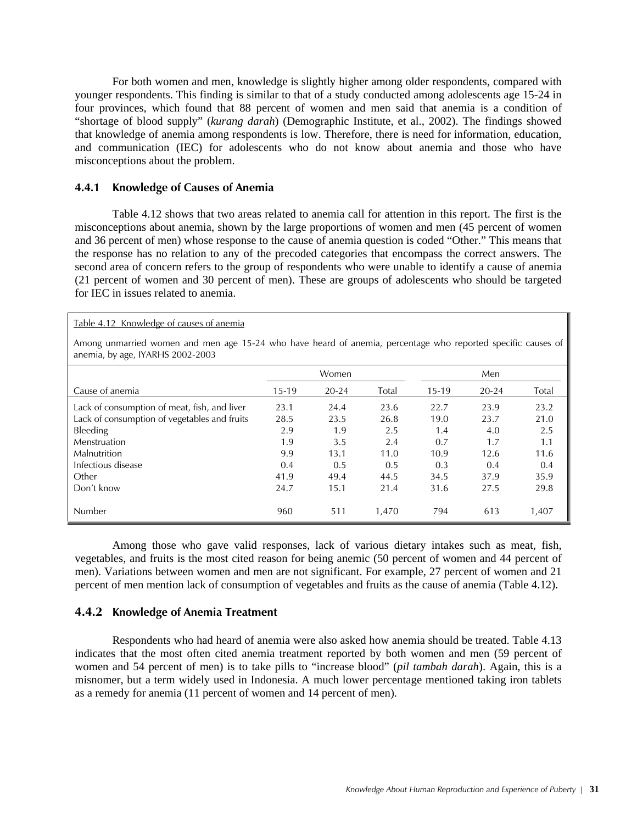For both women and men, knowledge is slightly higher among older respondents, compared with younger respondents. This finding is similar to that of a study conducted among adolescents age 15-24 in four provinces, which found that 88 percent of women and men said that anemia is a condition of "shortage of blood supply" (*kurang darah*) (Demographic Institute, et al., 2002). The findings showed that knowledge of anemia among respondents is low. Therefore, there is need for information, education, and communication (IEC) for adolescents who do not know about anemia and those who have misconceptions about the problem.

## **4.4.1 Knowledge of Causes of Anemia**

Table 4.12 Knowledge of causes of anemia

Table 4.12 shows that two areas related to anemia call for attention in this report. The first is the misconceptions about anemia, shown by the large proportions of women and men (45 percent of women and 36 percent of men) whose response to the cause of anemia question is coded "Other." This means that the response has no relation to any of the precoded categories that encompass the correct answers. The second area of concern refers to the group of respondents who were unable to identify a cause of anemia (21 percent of women and 30 percent of men). These are groups of adolescents who should be targeted for IEC in issues related to anemia.

| Total<br>23.6<br>26.8<br>2.5 | $15-19$<br>22.7<br>19.0<br>1.4 | $20 - 24$<br>23.9<br>23.7 | Total<br>23.2<br>21.0 |
|------------------------------|--------------------------------|---------------------------|-----------------------|
|                              |                                |                           |                       |
|                              |                                |                           |                       |
|                              |                                |                           |                       |
|                              |                                | 4.0                       | 2.5                   |
| 2.4                          | 0.7                            | 1.7                       | 1.1                   |
| 11.0                         | 10.9                           | 12.6                      | 11.6                  |
| 0.5                          | 0.3                            | 0.4                       | 0.4                   |
|                              | 34.5                           | 37.9                      | 35.9                  |
|                              | 31.6                           | 27.5                      | 29.8                  |
|                              | 44.5<br>21.4<br>1,470          | 794                       | 613                   |

Among those who gave valid responses, lack of various dietary intakes such as meat, fish, vegetables, and fruits is the most cited reason for being anemic (50 percent of women and 44 percent of men). Variations between women and men are not significant. For example, 27 percent of women and 21 percent of men mention lack of consumption of vegetables and fruits as the cause of anemia (Table 4.12).

# **4.4.2 Knowledge of Anemia Treatment**

Respondents who had heard of anemia were also asked how anemia should be treated. Table 4.13 indicates that the most often cited anemia treatment reported by both women and men (59 percent of women and 54 percent of men) is to take pills to "increase blood" (*pil tambah darah*). Again, this is a misnomer, but a term widely used in Indonesia. A much lower percentage mentioned taking iron tablets as a remedy for anemia (11 percent of women and 14 percent of men).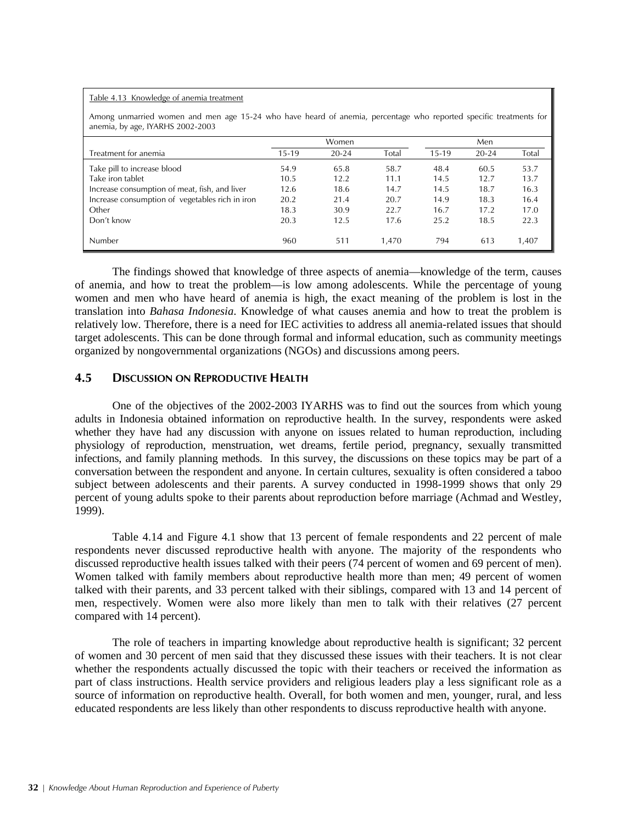#### Table 4.13 Knowledge of anemia treatment

Among unmarried women and men age 15-24 who have heard of anemia, percentage who reported specific treatments for anemia, by age, IYARHS 2002-2003

|                                                 |         | Women     | Men   |         |           |       |
|-------------------------------------------------|---------|-----------|-------|---------|-----------|-------|
| Treatment for anemia                            | $15-19$ | $20 - 24$ | Total | $15-19$ | $20 - 24$ | Total |
| Take pill to increase blood                     | 54.9    | 65.8      | 58.7  | 48.4    | 60.5      | 53.7  |
| Take iron tablet                                | 10.5    | 12.2      | 11.1  | 14.5    | 12.7      | 13.7  |
| Increase consumption of meat, fish, and liver   | 12.6    | 18.6      | 14.7  | 14.5    | 18.7      | 16.3  |
| Increase consumption of vegetables rich in iron | 20.2    | 21.4      | 20.7  | 14.9    | 18.3      | 16.4  |
| Other                                           | 18.3    | 30.9      | 22.7  | 16.7    | 17.2      | 17.0  |
| Don't know                                      | 20.3    | 12.5      | 17.6  | 25.2    | 18.5      | 22.3  |
| Number                                          | 960     | 511       | 1.470 | 794     | 613       | 1.407 |

 The findings showed that knowledge of three aspects of anemia—knowledge of the term, causes of anemia, and how to treat the problem—is low among adolescents. While the percentage of young women and men who have heard of anemia is high, the exact meaning of the problem is lost in the translation into *Bahasa Indonesia*. Knowledge of what causes anemia and how to treat the problem is relatively low. Therefore, there is a need for IEC activities to address all anemia-related issues that should target adolescents. This can be done through formal and informal education, such as community meetings organized by nongovernmental organizations (NGOs) and discussions among peers.

# **4.5 DISCUSSION ON REPRODUCTIVE HEALTH**

One of the objectives of the 2002-2003 IYARHS was to find out the sources from which young adults in Indonesia obtained information on reproductive health. In the survey, respondents were asked whether they have had any discussion with anyone on issues related to human reproduction, including physiology of reproduction, menstruation, wet dreams, fertile period, pregnancy, sexually transmitted infections, and family planning methods. In this survey, the discussions on these topics may be part of a conversation between the respondent and anyone. In certain cultures, sexuality is often considered a taboo subject between adolescents and their parents. A survey conducted in 1998-1999 shows that only 29 percent of young adults spoke to their parents about reproduction before marriage (Achmad and Westley, 1999).

Table 4.14 and Figure 4.1 show that 13 percent of female respondents and 22 percent of male respondents never discussed reproductive health with anyone. The majority of the respondents who discussed reproductive health issues talked with their peers (74 percent of women and 69 percent of men). Women talked with family members about reproductive health more than men; 49 percent of women talked with their parents, and 33 percent talked with their siblings, compared with 13 and 14 percent of men, respectively. Women were also more likely than men to talk with their relatives (27 percent compared with 14 percent).

 The role of teachers in imparting knowledge about reproductive health is significant; 32 percent of women and 30 percent of men said that they discussed these issues with their teachers. It is not clear whether the respondents actually discussed the topic with their teachers or received the information as part of class instructions. Health service providers and religious leaders play a less significant role as a source of information on reproductive health. Overall, for both women and men, younger, rural, and less educated respondents are less likely than other respondents to discuss reproductive health with anyone.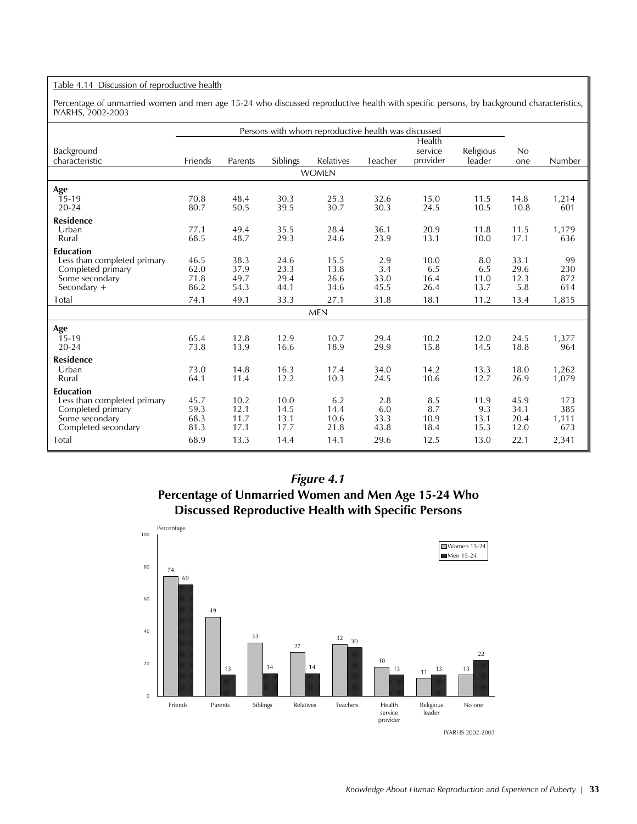#### Table 4.14 Discussion of reproductive health

Percentage of unmarried women and men age 15-24 who discussed reproductive health with specific persons, by background characteristics, IYARHS, 2002-2003

|                                                  | Persons with whom reproductive health was discussed |              |                 |              |            |                     |                     |              |            |
|--------------------------------------------------|-----------------------------------------------------|--------------|-----------------|--------------|------------|---------------------|---------------------|--------------|------------|
|                                                  |                                                     |              |                 |              |            | Health              |                     |              |            |
| Background<br>characteristic                     | Friends                                             | Parents      | <b>Siblings</b> | Relatives    | Teacher    | service<br>provider | Religious<br>leader | No<br>one    | Number     |
|                                                  |                                                     |              |                 | <b>WOMEN</b> |            |                     |                     |              |            |
| Age                                              |                                                     |              |                 |              |            |                     |                     |              |            |
| $15-19$                                          | 70.8                                                | 48.4         | 30.3            | 25.3         | 32.6       | 15.0                | 11.5                | 14.8         | 1,214      |
| $20 - 24$                                        | 80.7                                                | 50.5         | 39.5            | 30.7         | 30.3       | 24.5                | 10.5                | 10.8         | 601        |
| <b>Residence</b>                                 |                                                     |              |                 |              |            |                     |                     |              |            |
| Urban                                            | 77.1                                                | 49.4         | 35.5            | 28.4         | 36.1       | 20.9                | 11.8                | 11.5         | 1,179      |
| Rural                                            | 68.5                                                | 48.7         | 29.3            | 24.6         | 23.9       | 13.1                | 10.0                | 17.1         | 636        |
| <b>Education</b><br>Less than completed primary  | 46.5                                                | 38.3         | 24.6            | 15.5         | 2.9        | 10.0                | 8.0                 | 33.1         | 99         |
| Completed primary                                | 62.0                                                | 37.9         | 23.3            | 13.8         | 3.4        | 6.5                 | 6.5                 | 29.6         | 230        |
| Some secondary                                   | 71.8                                                | 49.7         | 29.4            | 26.6         | 33.0       | 16.4                | 11.0                | 12.3         | 872        |
| Secondary $+$                                    | 86.2                                                | 54.3         | 44.1            | 34.6         | 45.5       | 26.4                | 13.7                | 5.8          | 614        |
| Total                                            | 74.1                                                | 49.1         | 33.3            | 27.1         | 31.8       | 18.1                | 11.2                | 13.4         | 1,815      |
| <b>MEN</b>                                       |                                                     |              |                 |              |            |                     |                     |              |            |
| Age                                              |                                                     |              |                 |              |            |                     |                     |              |            |
| 15-19                                            | 65.4                                                | 12.8         | 12.9            | 10.7         | 29.4       | 10.2                | 12.0                | 24.5         | 1,377      |
| $20 - 24$                                        | 73.8                                                | 13.9         | 16.6            | 18.9         | 29.9       | 15.8                | 14.5                | 18.8         | 964        |
| <b>Residence</b>                                 |                                                     |              |                 |              |            |                     |                     |              |            |
| Urban                                            | 73.0                                                | 14.8         | 16.3            | 17.4         | 34.0       | 14.2                | 13.3                | 18.0         | 1,262      |
| Rural                                            | 64.1                                                | 11.4         | 12.2            | 10.3         | 24.5       | 10.6                | 12.7                | 26.9         | 1,079      |
| <b>Education</b>                                 |                                                     |              |                 |              |            |                     |                     |              |            |
| Less than completed primary<br>Completed primary | 45.7<br>59.3                                        | 10.2<br>12.1 | 10.0<br>14.5    | 6.2<br>14.4  | 2.8<br>6.0 | 8.5<br>8.7          | 11.9<br>9.3         | 45.9<br>34.1 | 173<br>385 |
| Some secondary                                   | 68.3                                                | 11.7         | 13.1            | 10.6         | 33.3       | 10.9                | 13.1                | 20.4         | 1,111      |
| Completed secondary                              | 81.3                                                | 17.1         | 17.7            | 21.8         | 43.8       | 18.4                | 15.3                | 12.0         | 673        |
| Total                                            | 68.9                                                | 13.3         | 14.4            | 14.1         | 29.6       | 12.5                | 13.0                | 22.1         | 2,341      |

# *Figure 4.1* **Percentage of Unmarried Women and Men Age 15-24 Who Discussed Reproductive Health with Specific Persons**

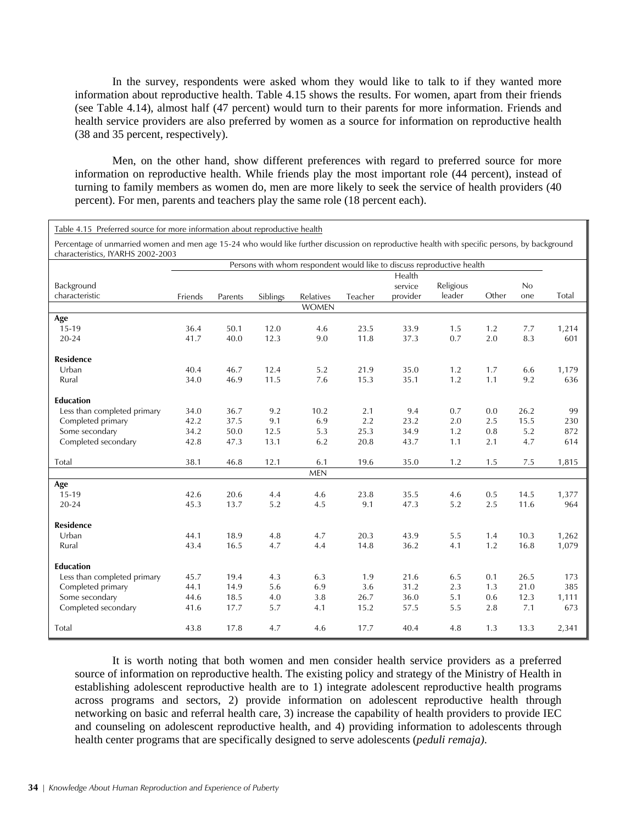In the survey, respondents were asked whom they would like to talk to if they wanted more information about reproductive health. Table 4.15 shows the results. For women, apart from their friends (see Table 4.14), almost half (47 percent) would turn to their parents for more information. Friends and health service providers are also preferred by women as a source for information on reproductive health (38 and 35 percent, respectively).

Men, on the other hand, show different preferences with regard to preferred source for more information on reproductive health. While friends play the most important role (44 percent), instead of turning to family members as women do, men are more likely to seek the service of health providers (40 percent). For men, parents and teachers play the same role (18 percent each).

| Table 4.15 Preferred source for more information about reproductive health                                                                                                         |                                                                        |              |              |              |              |              |            |            |            |              |
|------------------------------------------------------------------------------------------------------------------------------------------------------------------------------------|------------------------------------------------------------------------|--------------|--------------|--------------|--------------|--------------|------------|------------|------------|--------------|
| Percentage of unmarried women and men age 15-24 who would like further discussion on reproductive health with specific persons, by background<br>characteristics, IYARHS 2002-2003 |                                                                        |              |              |              |              |              |            |            |            |              |
|                                                                                                                                                                                    | Persons with whom respondent would like to discuss reproductive health |              |              |              |              |              |            |            |            |              |
|                                                                                                                                                                                    |                                                                        |              |              |              |              | Health       |            |            |            |              |
| Background                                                                                                                                                                         |                                                                        |              |              |              |              | service      | Religious  |            | No         |              |
| characteristic                                                                                                                                                                     | Friends                                                                | Parents      | Siblings     | Relatives    | Teacher      | provider     | leader     | Other      | one        | Total        |
|                                                                                                                                                                                    |                                                                        |              |              | <b>WOMEN</b> |              |              |            |            |            |              |
| Age                                                                                                                                                                                |                                                                        |              |              |              |              |              |            |            |            |              |
| 15-19<br>$20 - 24$                                                                                                                                                                 | 36.4<br>41.7                                                           | 50.1<br>40.0 | 12.0<br>12.3 | 4.6<br>9.0   | 23.5<br>11.8 | 33.9<br>37.3 | 1.5<br>0.7 | 1.2<br>2.0 | 7.7<br>8.3 | 1,214<br>601 |
|                                                                                                                                                                                    |                                                                        |              |              |              |              |              |            |            |            |              |
| <b>Residence</b>                                                                                                                                                                   |                                                                        |              |              |              |              |              |            |            |            |              |
| Urban                                                                                                                                                                              | 40.4                                                                   | 46.7         | 12.4         | 5.2          | 21.9         | 35.0         | 1.2        | 1.7        | 6.6        | 1,179        |
| Rural                                                                                                                                                                              | 34.0                                                                   | 46.9         | 11.5         | 7.6          | 15.3         | 35.1         | 1.2        | 1.1        | 9.2        | 636          |
|                                                                                                                                                                                    |                                                                        |              |              |              |              |              |            |            |            |              |
| <b>Education</b>                                                                                                                                                                   |                                                                        |              |              |              |              |              |            |            |            |              |
| Less than completed primary                                                                                                                                                        | 34.0                                                                   | 36.7         | 9.2          | 10.2         | 2.1          | 9.4          | 0.7        | 0.0        | 26.2       | 99           |
| Completed primary                                                                                                                                                                  | 42.2                                                                   | 37.5         | 9.1          | 6.9          | 2.2          | 23.2         | 2.0        | 2.5        | 15.5       | 230          |
| Some secondary                                                                                                                                                                     | 34.2                                                                   | 50.0         | 12.5         | 5.3          | 25.3         | 34.9         | 1.2        | 0.8        | 5.2        | 872          |
| Completed secondary                                                                                                                                                                | 42.8                                                                   | 47.3         | 13.1         | 6.2          | 20.8         | 43.7         | 1.1        | 2.1        | 4.7        | 614          |
| Total                                                                                                                                                                              | 38.1                                                                   | 46.8         | 12.1         | 6.1          | 19.6         | 35.0         | 1.2        | 1.5        | 7.5        | 1,815        |
|                                                                                                                                                                                    |                                                                        |              |              | <b>MEN</b>   |              |              |            |            |            |              |
| Age                                                                                                                                                                                |                                                                        |              |              |              |              |              |            |            |            |              |
| 15-19                                                                                                                                                                              | 42.6                                                                   | 20.6         | 4.4          | 4.6          | 23.8         | 35.5         | 4.6        | 0.5        | 14.5       | 1,377        |
| 20-24                                                                                                                                                                              | 45.3                                                                   | 13.7         | 5.2          | 4.5          | 9.1          | 47.3         | 5.2        | 2.5        | 11.6       | 964          |
| <b>Residence</b>                                                                                                                                                                   |                                                                        |              |              |              |              |              |            |            |            |              |
| Urban                                                                                                                                                                              | 44.1                                                                   | 18.9         | 4.8          | 4.7          | 20.3         | 43.9         | 5.5        | 1.4        | 10.3       | 1,262        |
| Rural                                                                                                                                                                              | 43.4                                                                   | 16.5         | 4.7          | 4.4          | 14.8         | 36.2         | 4.1        | 1.2        | 16.8       | 1,079        |
| <b>Education</b>                                                                                                                                                                   |                                                                        |              |              |              |              |              |            |            |            |              |
| Less than completed primary                                                                                                                                                        | 45.7                                                                   | 19.4         | 4.3          | 6.3          | 1.9          | 21.6         | 6.5        | 0.1        | 26.5       | 173          |
| Completed primary                                                                                                                                                                  | 44.1                                                                   | 14.9         | 5.6          | 6.9          | 3.6          | 31.2         | 2.3        | 1.3        | 21.0       | 385          |
| Some secondary                                                                                                                                                                     | 44.6                                                                   | 18.5         | 4.0          | 3.8          | 26.7         | 36.0         | 5.1        | 0.6        | 12.3       | 1,111        |
| Completed secondary                                                                                                                                                                | 41.6                                                                   | 17.7         | 5.7          | 4.1          | 15.2         | 57.5         | 5.5        | 2.8        | 7.1        | 673          |
| Total                                                                                                                                                                              | 43.8                                                                   | 17.8         | 4.7          | 4.6          | 17.7         | 40.4         | 4.8        | 1.3        | 13.3       | 2,341        |

It is worth noting that both women and men consider health service providers as a preferred source of information on reproductive health. The existing policy and strategy of the Ministry of Health in establishing adolescent reproductive health are to 1) integrate adolescent reproductive health programs across programs and sectors, 2) provide information on adolescent reproductive health through networking on basic and referral health care, 3) increase the capability of health providers to provide IEC and counseling on adolescent reproductive health, and 4) providing information to adolescents through health center programs that are specifically designed to serve adolescents (*peduli remaja)*.